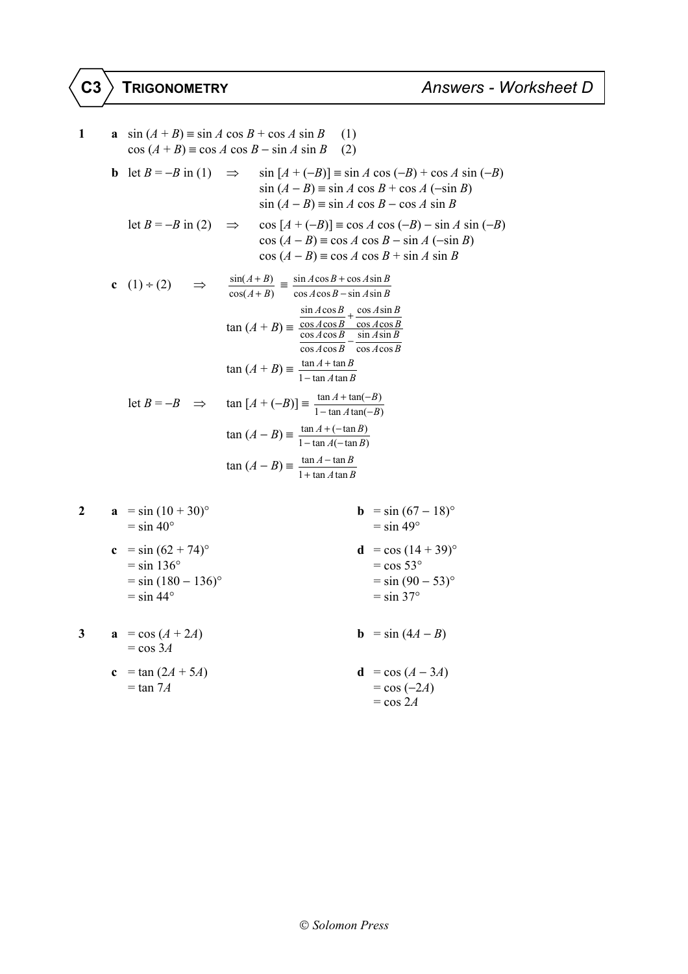1  
\na 
$$
sin(A+B) = sin A cos B + cos A sin B
$$
 (1)  
\ncos  $(A + B) = cos A cos B - sin A sin B$  (2)  
\nb  $let B = -B$  in (1)  $\Rightarrow sin [A + (-B)] = sin A cos (-B) + cos A sin (-B)$   
\n $sin (A - B) = sin A cos B + cos A (-sin B)$   
\n $sin (A - B) = sin A cos B - cos A sin B$   
\nlet  $B = -B$  in (2)  $\Rightarrow cos [A + (-B)] = cos A cos (-B) - sin A sin (-B)$   
\n $cos (A - B) = cos A cos B - sin A (-sin B)$   
\n $cos (A - B) = cos A cos B + sin A sin B$   
\nc  $(1) + (2) \Rightarrow \frac{sin(A+B)}{cos(A+B)} = \frac{sin A cos B + cos A sin B}{cos A cos B - sin A sin B}$   
\n $tan (A + B) = \frac{sin A cos B}{cos A cos B} - \frac{cos A sin B}{cos A cos B}$   
\n $tan (A + B) = \frac{tan A + tan B}{1 - tan A tan B}$   
\nlet  $B = -B \Rightarrow tan [A + (-B)] = \frac{tan A + tan(-B)}{1 - tan A tan(-B)}$   
\n $tan (A - B) = \frac{tan A + (tan B)}{1 - tan A tan(B)}$   
\n $tan (A - B) = \frac{tan A - (tan B)}{1 - tan A (tan B)}$   
\n $tan (A - B) = \frac{tan A - (tan B)}{1 + tan A tan B}$   
\n2  
\na  $= sin (10 + 30)°$   
\n $= sin 40°$   
\nc  $= sin (62 + 74)°$   
\n $= sin 36°$   
\n $cos 30°$   
\n $= sin 36°$   
\n $cos 30°$ 

 = sin 136° = cos 53° = sin (180 − 136)° = sin (90 − 53)° = sin 44° = sin 37°

**3 a** = cos (*A* + 2*A*) **b** = sin (4*A* − *B*) = cos 3*A* **c** = tan (2*A* + 5*A*) **d** = cos (*A* − 3*A*) = tan 7*A* = cos (−2*A*) = cos 2*A*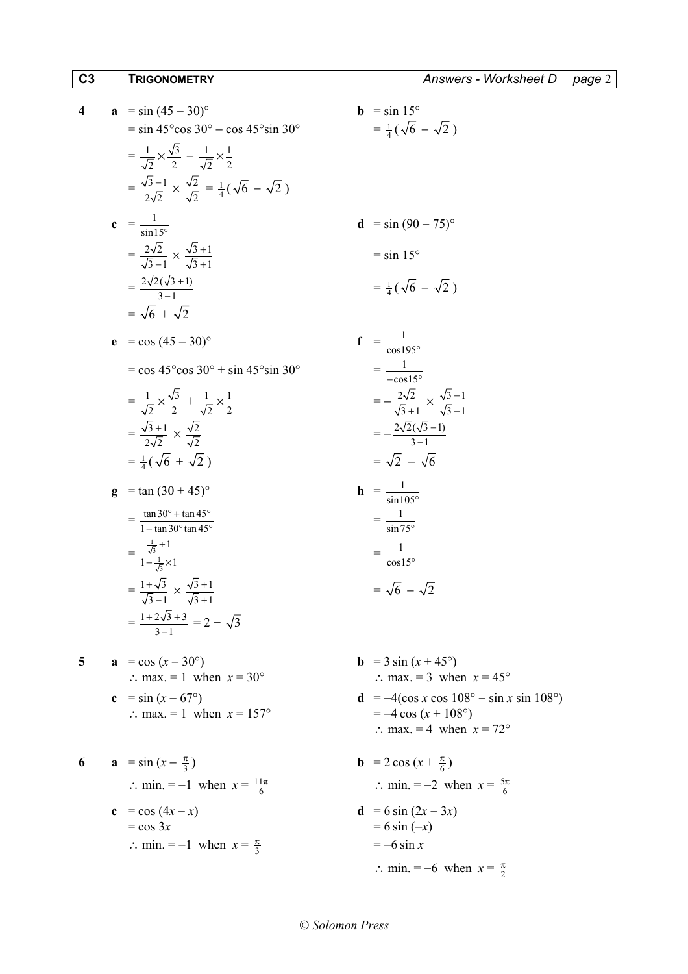− −

4   
\na 
$$
= \sin (45-30)^{\circ}
$$
  
\nb  $= \sin 15^{\circ}$   
\nc  $= \frac{1}{\sqrt{2}} \times \frac{\sqrt{3}}{2} - \frac{1}{\sqrt{2}} \times \frac{1}{\sqrt{2}} = \frac{1}{4} (\sqrt{6} - \sqrt{2})$   
\n $= \frac{2}{\sqrt{2}} \times \frac{\sqrt{3}}{\sqrt{2}} = \frac{1}{4} (\sqrt{6} - \sqrt{2})$   
\nc  $= \frac{1}{\sin 15^{\circ}}$   
\nd  $= \sin (90 - 75)^{\circ}$   
\n $= \frac{2\sqrt{2}(\sqrt{3} + 1)}{\sqrt{3} - 1}$   
\n $= \frac{2\sqrt{2}(\sqrt{3} + 1)}{\sqrt{3} - 1}$   
\n $= \sqrt{6} + \sqrt{2}$   
\ne  $= \cos (45-30)^{\circ}$   
\nf  $= \frac{1}{\cos 15^{\circ}}$   
\n $= \frac{1}{\sqrt{2}} \times \frac{\sqrt{3}}{2} + \frac{1}{\sqrt{2}} \times \frac{1}{2}$   
\n $= \frac{\sqrt{3} + 1}{2\sqrt{2}} \times \frac{\sqrt{3}}{2} + \frac{1}{\sqrt{2}} \times \frac{1}{2}$   
\n $= \frac{4}{\sqrt{3} + 1} \times \frac{\sqrt{3}}{2}$   
\n $= \frac{1}{\sqrt{3} + 1} \times \frac{\sqrt{3}}{2}$   
\n $= \frac{1}{\sqrt{3} + 1} \times \frac{\sqrt{3}}{2}$   
\n $= \frac{1}{2\sqrt{2}} \times \frac{\sqrt{3}}{2} + \frac{1}{\sqrt{2}} \times \frac{1}{2}$   
\n $= \frac{1}{4} (\sqrt{6} + \sqrt{2})$   
\n $= \frac{1}{4} (\sqrt{6} + \sqrt{2})$   
\n $= \frac{1}{1 - \tan 30^{\circ} \tan 45^{\circ}}$   
\n $= \frac{1}{\tan 10^{\circ}}$   
\n $= \frac{1}{\sqrt{3} + 1}$   
\n $= \frac{1}{\sqrt{3} + 1}$   
\n $= \frac{1}{\sqrt{$ 

$$
\therefore \text{ min.} = -1 \text{ when } x = \frac{\pi}{3} = -6 \sin x
$$

*Solomon Press* 

∴ min. =  $-6$  when  $x = \frac{\pi}{2}$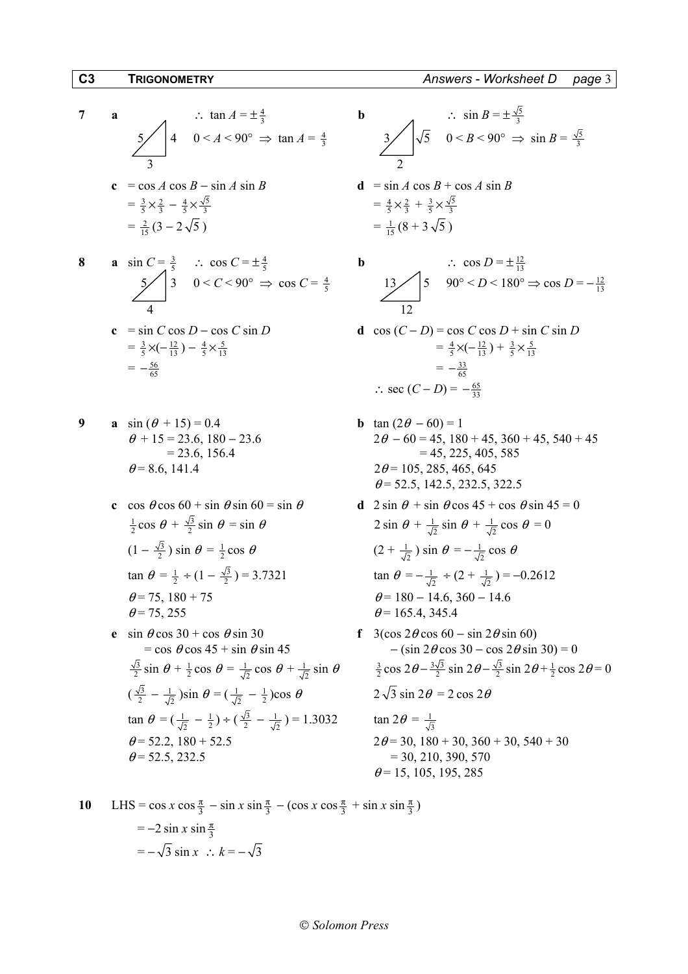7 **a**   
\n
$$
\therefore \tan A = \pm \frac{4}{3}
$$
  
\n  
\n3 **b**   
\n $\therefore \sin B = \pm \frac{1}{3}$   
\n  
\n6 **c**  $= \cos A \cos B - \sin A \sin B$   
\n $= \frac{3}{5} \times \frac{2}{3} - \frac{4}{5} \times \frac{\sqrt{5}}{3}$   
\n $= \frac{2}{15} (3 - 2\sqrt{5})$   
\n**c**  $\sec A \cos B - \sin A \sin B$   
\n**d**  $= \sin A \cos B + \cos A \sin B$   
\n $= \frac{4}{5} \times \frac{2}{3} + \frac{3}{5} \times \frac{\sqrt{5}}{3}$   
\n $= \frac{1}{15} (8 + 3\sqrt{5})$ 

8 **a** 
$$
\sin C = \frac{3}{5}
$$
  $\therefore \cos C = \pm \frac{4}{5}$  **b**  
  $\frac{5}{4}$   $3 \quad 0 < C < 90^{\circ} \Rightarrow \cos C = \frac{4}{5}$   $13$ 

**c** = sin C cos D – cos C sin D  
\n= 
$$
\frac{3}{5} \times (-\frac{12}{13}) - \frac{4}{5} \times \frac{5}{13}
$$
  
\n=  $-\frac{56}{65}$   
\n**d** cos (C – D) = cos  
\n=  $\frac{4}{5} \times (-\frac{12}{13}) - \frac{4}{5} \times \frac{5}{13}$   
\n=  $-\frac{35}{65}$ 

9 **a** 
$$
\sin (\theta + 15) = 0.4
$$
  
\n $\theta + 15 = 23.6, 180 - 23.6$   
\n $= 23.6, 156.4$   
\n $\theta = 8.6, 141.4$   
\n**b**  $\tan (2\theta - 60) = 1$   
\n $2\theta - 60 = 45, 180$   
\n $= 45, 225$   
\n $2\theta = 105, 285, 46$ 

- $\frac{1}{2}$ cos  $\theta + \frac{\sqrt{3}}{2}$ sin  $\theta = \sin \theta$  2 sin  $\theta + \frac{1}{\sqrt{3}}$  $(1-\frac{\sqrt{3}}{2}) \sin \theta = \frac{1}{2}$  $\tan \theta = \frac{1}{2} \div (1 - \frac{\sqrt{3}}{2})$  $\theta$  = 75, 180 + 75  $\theta$  = 180 - 14.6, 360 - 14.6  $\theta$  = 75, 255  $\theta$  = 165.4, 345.4 **e** sin  $\theta$  cos 30 + cos  $\theta$  sin 30 **f** 3(cos 2 $\theta$  cos 60 − sin 2 $\theta$  sin 60)
- $\frac{\sqrt{3}}{2}$  sin  $\theta + \frac{1}{2}$  cos  $\theta = \frac{1}{\sqrt{2}}$  cos  $\theta + \frac{1}{\sqrt{2}}$  sin  $\theta$   $\frac{3}{2}$  $\left(\frac{\sqrt{3}}{2} - \frac{1}{\sqrt{2}}\right)$ sin  $\theta = \left(\frac{1}{\sqrt{2}} - \frac{1}{2}\right)$ tan  $\theta = (\frac{1}{\sqrt{2}} - \frac{1}{2}) \div (\frac{\sqrt{3}}{2} - \frac{1}{\sqrt{2}}) = 1.3032$  tan  $2\theta = \frac{1}{\sqrt{3}}$  $\theta$  = 52.2, 180 + 52.5 2 $\theta$  = 30, 180 + 30, 360 + 30, 540 + 30  $\theta$  = 52.5, 232.5 = 30, 210, 390, 570

$$
\frac{4}{3} \Rightarrow \tan A = \frac{4}{3}
$$
\n
$$
\Rightarrow \tan A = \frac{4}{3}
$$
\n
$$
\Rightarrow \frac{3}{2} \qquad \frac{\sqrt{5}}{2} \qquad 0 < B < 90^{\circ} \Rightarrow \sin B = \frac{\sqrt{5}}{3}
$$
\n
$$
\frac{2}{1} \qquad \frac{\sqrt{5}}{1} \qquad 0 < B \qquad \frac{\sqrt{5}}{3}
$$

$$
= \frac{4}{5} \times \frac{2}{3} + \frac{3}{5} \times \frac{\sqrt{5}}{3}
$$
  
=  $\frac{1}{15} (8 + 3\sqrt{5})$ 

$$
\frac{4}{5} \Rightarrow \cos C = \frac{4}{5}
$$
\n
$$
\frac{13}{12} \qquad \qquad 5 \qquad 90^{\circ} < D < 180^{\circ} \Rightarrow \cos D = -\frac{12}{13}
$$

c = sin C cos D - cos C sin D  
\n= 
$$
\frac{3}{5} \times (-\frac{12}{13}) - \frac{4}{5} \times \frac{5}{13}
$$
  
\n=  $-\frac{56}{65}$   
\n $\therefore$  sec  $(C-D)$  = cos C cos D + sin C sin D  
\n=  $\frac{4}{5} \times (-\frac{12}{13}) + \frac{3}{5} \times \frac{5}{13}$   
\n=  $-\frac{33}{65}$   
\n $\therefore$  sec  $(C-D)$  =  $-\frac{65}{33}$ 

- $2\theta 60 = 45$ , 180 + 45, 360 + 45, 540 + 45  $= 45, 225, 405, 585$  $2\theta = 105, 285, 465, 645$  $\theta$  = 52.5, 142.5, 232.5, 322.5
- **c** cos  $\theta$  cos 60 + sin  $\theta$  sin 60 = sin  $\theta$  **d** 2 sin  $\theta$  + sin  $\theta$  cos 45 + cos  $\theta$  sin 45 = 0  $\frac{1}{2}$  sin  $\theta + \frac{1}{\sqrt{2}}$  cos  $\theta = 0$  $\frac{1}{2}$ cos  $\theta$  (2 +  $\frac{1}{\sqrt{2}}$ ) sin  $\theta = -\frac{1}{\sqrt{2}}$ cos  $\theta$  $\frac{1}{2}$  ) = 3.7321 tan  $\theta = -\frac{1}{\sqrt{2}} \div (2 + \frac{1}{\sqrt{2}}) = -0.2612$ 
	- $=$  cos  $\theta$  cos 45 + sin  $\theta$  sin 45  $-$  (sin 2 $\theta$  cos 30 cos 2 $\theta$  sin 30) = 0  $\frac{3}{2}$  cos 2 $\theta - \frac{3\sqrt{3}}{2}$  sin 2 $\theta - \frac{\sqrt{3}}{2}$  sin 2 $\theta + \frac{1}{2}$  cos 2 $\theta = 0$  $2\sqrt{3} \sin 2\theta = 2 \cos 2\theta$  $\tan 2\theta = \frac{1}{\sqrt{3}}$  $\theta$  = 15, 105, 195, 285

10 LHS = 
$$
\cos x \cos \frac{\pi}{3} - \sin x \sin \frac{\pi}{3} - (\cos x \cos \frac{\pi}{3} + \sin x \sin \frac{\pi}{3})
$$
  
=  $-2 \sin x \sin \frac{\pi}{3}$   
=  $-\sqrt{3} \sin x \therefore k = -\sqrt{3}$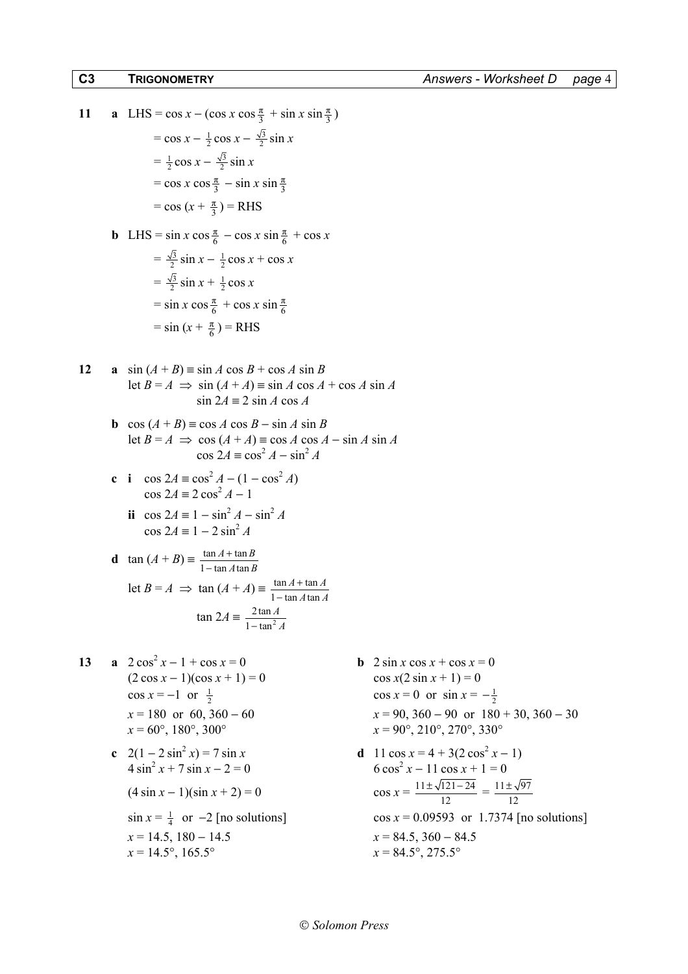11 **a** LHS = cos x - (cos x cos 
$$
\frac{\pi}{3}
$$
 + sin x sin  $\frac{\pi}{3}$ )  
\n= cos x -  $\frac{1}{2}$  cos x -  $\frac{\sqrt{3}}{2}$  sin x  
\n=  $\frac{1}{2}$  cos x -  $\frac{\sqrt{3}}{2}$  sin x  
\n= cos x cos  $\frac{\pi}{3}$  - sin x sin  $\frac{\pi}{3}$   
\n= cos (x +  $\frac{\pi}{3}$ ) = RHS  
\n**b** LHS = sin x cos  $\frac{\pi}{6}$  - cos x sin  $\frac{\pi}{6}$  + cos x  
\n=  $\frac{\sqrt{3}}{2}$  sin x -  $\frac{1}{2}$  cos x + cos x  
\n=  $\frac{\sqrt{3}}{2}$  sin x +  $\frac{1}{2}$  cos x  
\n= sin x cos  $\frac{\pi}{6}$  + cos x sin  $\frac{\pi}{6}$   
\n= sin (x +  $\frac{\pi}{6}$ ) = RHS

12 **a** 
$$
\sin (A + B) \equiv \sin A \cos B + \cos A \sin B
$$
  
let  $B = A \implies \sin (A + A) \equiv \sin A \cos A + \cos A \sin A$   
 $\sin 2A \equiv 2 \sin A \cos A$ 

- **b** cos  $(A + B) = \cos A \cos B \sin A \sin B$ let *B* = *A*  $\Rightarrow$  cos  $(A + A) \equiv \cos A \cos A - \sin A \sin A$  $\cos 2A \equiv \cos^2 A - \sin^2 A$
- **c i**  $\cos 2A = \cos^2 A (1 \cos^2 A)$  $\cos 2A \equiv 2 \cos^2 A - 1$ 
	- **ii** cos  $2A = 1 \sin^2 A \sin^2 A$  $\cos 2A \equiv 1 - 2 \sin^2 A$

**d** 
$$
\tan (A + B) = \frac{\tan A + \tan B}{1 - \tan A \tan B}
$$
  
\nlet  $B = A \implies \tan (A + A) = \frac{\tan A + \tan A}{1 - \tan A \tan A}$   
\n $\tan 2A = \frac{2 \tan A}{1 - \tan^2 A}$ 

- 13 **a**  $2 \cos^2 x 1 + \cos x = 0$  $(2 \cos x - 1)(\cos x + 1) = 0$  cos  $x(2 \sin x + 1) = 0$ cos  $x = -1$  or  $\frac{1}{2}$
- **c**  $2(1 2\sin^2 x) = 7\sin x$  **d**  $11\cos x = 4 + 3(2\cos^2 x)$  $4 \sin^2 x + 7 \sin x - 2 = 0$  6 cos<sup>2</sup>  $(4 \sin x - 1)(\sin x + 2) = 0$ 
	- $x = 14.5, 180 14.5$  $x = 14.5^\circ, 165.5^\circ$
- **b** 2 sin *x* cos  $x + \cos x = 0$  $\frac{1}{2}$  cos  $x = 0$  or sin  $x = -\frac{1}{2}$  $x = 180$  or 60, 360 – 60  $x = 90, 360 - 90$  or  $180 + 30, 360 - 30$ <br> $x = 60^{\circ}, 180^{\circ}, 300^{\circ}$   $x = 90^{\circ}, 210^{\circ}, 270^{\circ}, 330^{\circ}$  $x = 90^\circ, 210^\circ, 270^\circ, 330^\circ$

c 
$$
2(1-2\sin^2 x) = 7\sin x
$$
  
\nd  $11\cos x = 4 + 3(2\cos^2 x - 1)$   
\nd  $11\cos x = 4 + 3(2\cos^2 x - 1)$   
\n $6\cos^2 x - 11\cos x + 1 = 0$   
\n $(4\sin x - 1)(\sin x + 2) = 0$   
\n $\sin x = \frac{1}{4}$  or  $-2$  [no solutions]  
\n $x = 14.5$ ,  $180 - 14.5$   
\n $x = 14.5^\circ$ ,  $165.5^\circ$   
\n $180 - 14.5^\circ$   
\n $x = 84.5^\circ$ ,  $275.5^\circ$   
\n $x = 84.5^\circ$ ,  $275.5^\circ$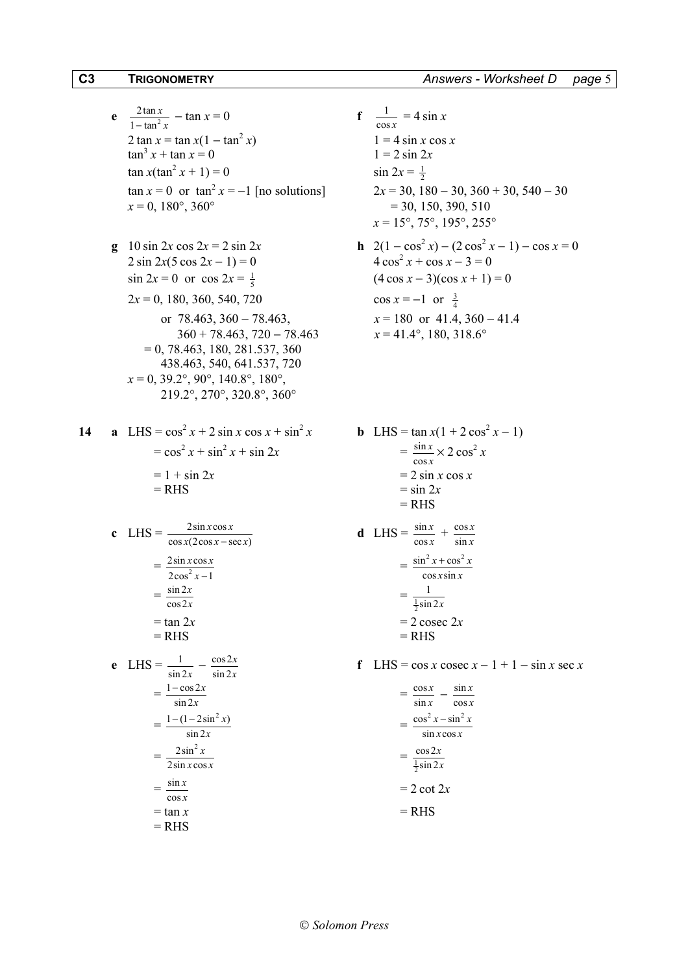# $C<sub>3</sub>$ **TRIGONOMETRY**

Answers - Worksheet D page 5

- **e**  $\frac{2 \tan x}{1 \tan^2 x} \tan x = 0$ 2 tan  $x = \tan x (1 - \tan^2 x)$  $\tan^3 x + \tan x = 0$  $\tan x(\tan^2 x + 1) = 0$  $\tan x = 0$  or  $\tan^2 x = -1$  [no solutions]  $x = 0$ , 180°, 360°
- **g** 10 sin 2x cos  $2x = 2 \sin 2x$  $2 \sin 2x(5 \cos 2x - 1) = 0$  $\sin 2x = 0$  or  $\cos 2x = \frac{1}{5}$  $2x = 0$ , 180, 360, 540, 720 or  $78.463$ ,  $360 - 78.463$ ,  $360 + 78.463$ ,  $720 - 78.463$  $= 0, 78.463, 180, 281.537, 360$ 438.463, 540, 641.537, 720  $x = 0$ , 39.2°, 90°, 140.8°, 180°, 219.2°, 270°, 320.8°, 360°

$$
\begin{aligned}\n\mathbf{c} \quad \text{LHS} &= \frac{2 \sin x \cos x}{\cos x (2 \cos x - \sec x)} \\
&= \frac{2 \sin x \cos x}{2 \cos^2 x - 1} \\
&= \frac{\sin 2x}{\cos 2x} \\
&= \tan 2x \\
&= \text{RHS} \\
\mathbf{e} \quad \text{LHS} &= \frac{1}{\sin 2x} - \frac{\cos 2x}{\sin 2x} \\
&= \frac{1 - \cos 2x}{\sin 2x} \\
&= \frac{1 - (1 - 2 \sin^2 x)}{\sin 2x} \\
&= \frac{2 \sin^2 x}{2 \sin x \cos x} \\
&= \frac{\sin x}{\cos x} \\
&= \tan x \\
&= \text{RHS}\n\end{aligned}
$$

 $f \frac{1}{\cos x} = 4 \sin x$ 

 $1 = 4 \sin x \cos x$  $1 = 2 \sin 2x$  $\sin 2x = \frac{1}{2}$  $2x = 30, 180 - 30, 360 + 30, 540 - 30$  $=$  30, 150, 390, 510  $x = 15^{\circ}, 75^{\circ}, 195^{\circ}, 255^{\circ}$ 

**h**  $2(1 - \cos^2 x) - (2 \cos^2 x - 1) - \cos x = 0$  $4\cos^2 x + \cos x - 3 = 0$  $(4 \cos x - 3)(\cos x + 1) = 0$  $\cos x = -1$  or  $\frac{3}{4}$  $x = 180$  or 41.4, 360 - 41.4  $x = 41.4^{\circ}, 180, 318.6^{\circ}$ 

**b** LHS = 
$$
\tan x(1 + 2 \cos^2 x - 1)
$$
  
\n
$$
= \frac{\sin x}{\cos x} \times 2 \cos^2 x
$$
\n
$$
= 2 \sin x \cos x
$$
\n
$$
= \sin 2x
$$
\n
$$
= RHS
$$
\n**d** LHS =  $\frac{\sin x}{\cos x} + \frac{\cos x}{\sin x}$   
\n
$$
= \frac{\sin^2 x + \cos^2 x}{\cos x \sin x}
$$
  
\n
$$
= \frac{1}{\frac{1}{2} \sin 2x}
$$

 $= 2 \csc 2x$  $= RHS$ 

f LHS = cos x cosec  $x - 1 + 1 - \sin x$  sec x

$$
= \frac{\cos x}{\sin x} - \frac{\sin x}{\cos x}
$$

$$
= \frac{\cos^2 x - \sin^2 x}{\sin x \cos x}
$$

$$
= \frac{\cos 2x}{\frac{1}{2} \sin 2x}
$$

$$
= 2 \cot 2x
$$

$$
= RHS
$$